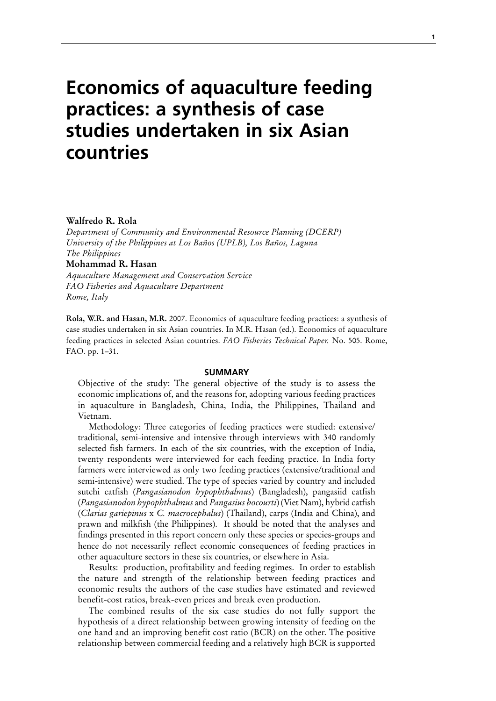# **Economics of aquaculture feeding practices: a synthesis of case studies undertaken in six Asian countries**

#### **Walfredo R. Rola**

*Department of Community and Environmental Resource Planning (DCERP) University of the Philippines at Los Baños (UPLB), Los Baños, Laguna The Philippines* **Mohammad R. Hasan** 

*Aquaculture Management and Conservation Service FAO Fisheries and Aquaculture Department Rome, Italy*

**Rola, W.R. and Hasan, M.R.** 2007. Economics of aquaculture feeding practices: a synthesis of case studies undertaken in six Asian countries. In M.R. Hasan (ed.). Economics of aquaculture feeding practices in selected Asian countries. *FAO Fisheries Technical Paper.* No. 505. Rome, FAO. pp. 1–31.

#### **SUMMARY**

Objective of the study: The general objective of the study is to assess the economic implications of, and the reasons for, adopting various feeding practices in aquaculture in Bangladesh, China, India, the Philippines, Thailand and Vietnam.

Methodology: Three categories of feeding practices were studied: extensive/ traditional, semi-intensive and intensive through interviews with 340 randomly selected fish farmers. In each of the six countries, with the exception of India, twenty respondents were interviewed for each feeding practice. In India forty farmers were interviewed as only two feeding practices (extensive/traditional and semi-intensive) were studied. The type of species varied by country and included sutchi catfish (*Pangasianodon hypophthalmus*) (Bangladesh), pangasiid catfish (*Pangasianodon hypophthalmus* and *Pangasius bocourti*) (Viet Nam), hybrid catfish (*Clarias gariepinus* x *C. macrocephalus*) (Thailand), carps (India and China), and prawn and milkfish (the Philippines). It should be noted that the analyses and findings presented in this report concern only these species or species-groups and hence do not necessarily reflect economic consequences of feeding practices in other aquaculture sectors in these six countries, or elsewhere in Asia.

Results: production, profitability and feeding regimes. In order to establish the nature and strength of the relationship between feeding practices and economic results the authors of the case studies have estimated and reviewed benefit-cost ratios, break-even prices and break even production.

The combined results of the six case studies do not fully support the hypothesis of a direct relationship between growing intensity of feeding on the one hand and an improving benefit cost ratio (BCR) on the other. The positive relationship between commercial feeding and a relatively high BCR is supported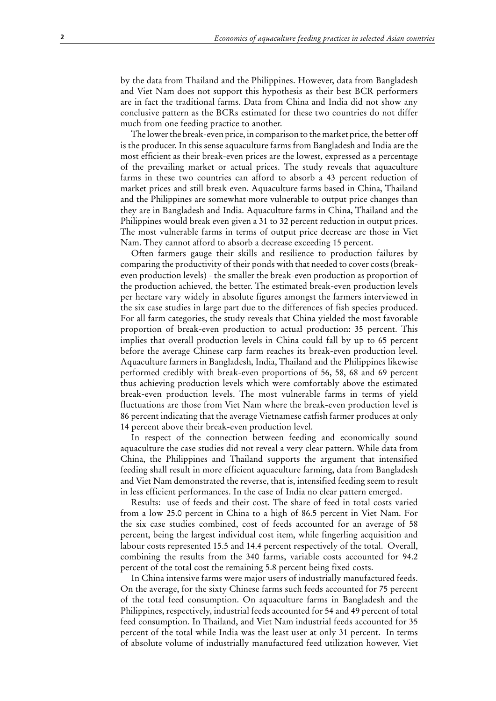by the data from Thailand and the Philippines. However, data from Bangladesh and Viet Nam does not support this hypothesis as their best BCR performers are in fact the traditional farms. Data from China and India did not show any conclusive pattern as the BCRs estimated for these two countries do not differ much from one feeding practice to another.

The lower the break-even price, in comparison to the market price, the better off is the producer. In this sense aquaculture farms from Bangladesh and India are the most efficient as their break-even prices are the lowest, expressed as a percentage of the prevailing market or actual prices. The study reveals that aquaculture farms in these two countries can afford to absorb a 43 percent reduction of market prices and still break even. Aquaculture farms based in China, Thailand and the Philippines are somewhat more vulnerable to output price changes than they are in Bangladesh and India. Aquaculture farms in China, Thailand and the Philippines would break even given a 31 to 32 percent reduction in output prices. The most vulnerable farms in terms of output price decrease are those in Viet Nam. They cannot afford to absorb a decrease exceeding 15 percent.

Often farmers gauge their skills and resilience to production failures by comparing the productivity of their ponds with that needed to cover costs (breakeven production levels) - the smaller the break-even production as proportion of the production achieved, the better. The estimated break-even production levels per hectare vary widely in absolute figures amongst the farmers interviewed in the six case studies in large part due to the differences of fish species produced. For all farm categories, the study reveals that China yielded the most favorable proportion of break-even production to actual production: 35 percent. This implies that overall production levels in China could fall by up to 65 percent before the average Chinese carp farm reaches its break-even production level. Aquaculture farmers in Bangladesh, India, Thailand and the Philippines likewise performed credibly with break-even proportions of 56, 58, 68 and 69 percent thus achieving production levels which were comfortably above the estimated break-even production levels. The most vulnerable farms in terms of yield fluctuations are those from Viet Nam where the break-even production level is 86 percent indicating that the average Vietnamese catfish farmer produces at only 14 percent above their break-even production level.

In respect of the connection between feeding and economically sound aquaculture the case studies did not reveal a very clear pattern. While data from China, the Philippines and Thailand supports the argument that intensified feeding shall result in more efficient aquaculture farming, data from Bangladesh and Viet Nam demonstrated the reverse, that is, intensified feeding seem to result in less efficient performances. In the case of India no clear pattern emerged.

Results: use of feeds and their cost. The share of feed in total costs varied from a low 25.0 percent in China to a high of 86.5 percent in Viet Nam. For the six case studies combined, cost of feeds accounted for an average of 58 percent, being the largest individual cost item, while fingerling acquisition and labour costs represented 15.5 and 14.4 percent respectively of the total. Overall, combining the results from the 340 farms, variable costs accounted for 94.2 percent of the total cost the remaining 5.8 percent being fixed costs.

In China intensive farms were major users of industrially manufactured feeds. On the average, for the sixty Chinese farms such feeds accounted for 75 percent of the total feed consumption. On aquaculture farms in Bangladesh and the Philippines, respectively, industrial feeds accounted for 54 and 49 percent of total feed consumption. In Thailand, and Viet Nam industrial feeds accounted for 35 percent of the total while India was the least user at only 31 percent. In terms of absolute volume of industrially manufactured feed utilization however, Viet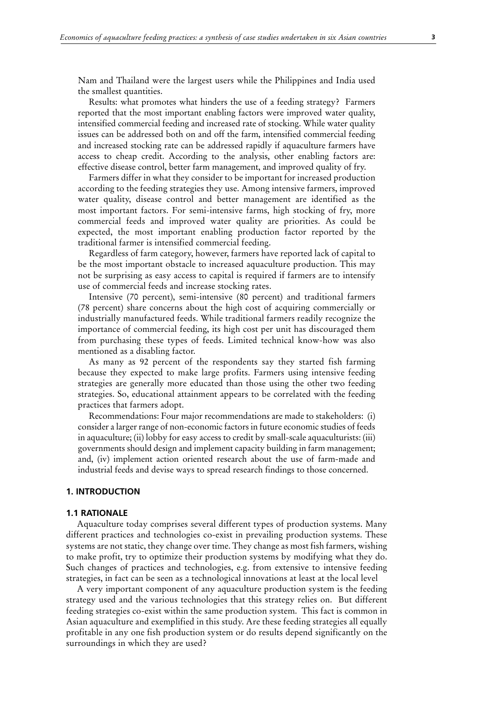Nam and Thailand were the largest users while the Philippines and India used the smallest quantities.

Results: what promotes what hinders the use of a feeding strategy? Farmers reported that the most important enabling factors were improved water quality, intensified commercial feeding and increased rate of stocking. While water quality issues can be addressed both on and off the farm, intensified commercial feeding and increased stocking rate can be addressed rapidly if aquaculture farmers have access to cheap credit. According to the analysis, other enabling factors are: effective disease control, better farm management, and improved quality of fry.

Farmers differ in what they consider to be important for increased production according to the feeding strategies they use. Among intensive farmers, improved water quality, disease control and better management are identified as the most important factors. For semi-intensive farms, high stocking of fry, more commercial feeds and improved water quality are priorities. As could be expected, the most important enabling production factor reported by the traditional farmer is intensified commercial feeding.

Regardless of farm category, however, farmers have reported lack of capital to be the most important obstacle to increased aquaculture production. This may not be surprising as easy access to capital is required if farmers are to intensify use of commercial feeds and increase stocking rates.

Intensive (70 percent), semi-intensive (80 percent) and traditional farmers (78 percent) share concerns about the high cost of acquiring commercially or industrially manufactured feeds. While traditional farmers readily recognize the importance of commercial feeding, its high cost per unit has discouraged them from purchasing these types of feeds. Limited technical know-how was also mentioned as a disabling factor.

As many as 92 percent of the respondents say they started fish farming because they expected to make large profits. Farmers using intensive feeding strategies are generally more educated than those using the other two feeding strategies. So, educational attainment appears to be correlated with the feeding practices that farmers adopt.

Recommendations: Four major recommendations are made to stakeholders: (i) consider a larger range of non-economic factors in future economic studies of feeds in aquaculture; (ii) lobby for easy access to credit by small-scale aquaculturists: (iii) governments should design and implement capacity building in farm management; and, (iv) implement action oriented research about the use of farm-made and industrial feeds and devise ways to spread research findings to those concerned.

#### **1. Introduction**

#### **1.1 Rationale**

Aquaculture today comprises several different types of production systems. Many different practices and technologies co-exist in prevailing production systems. These systems are not static, they change over time. They change as most fish farmers, wishing to make profit, try to optimize their production systems by modifying what they do. Such changes of practices and technologies, e.g. from extensive to intensive feeding strategies, in fact can be seen as a technological innovations at least at the local level

A very important component of any aquaculture production system is the feeding strategy used and the various technologies that this strategy relies on. But different feeding strategies co-exist within the same production system. This fact is common in Asian aquaculture and exemplified in this study. Are these feeding strategies all equally profitable in any one fish production system or do results depend significantly on the surroundings in which they are used?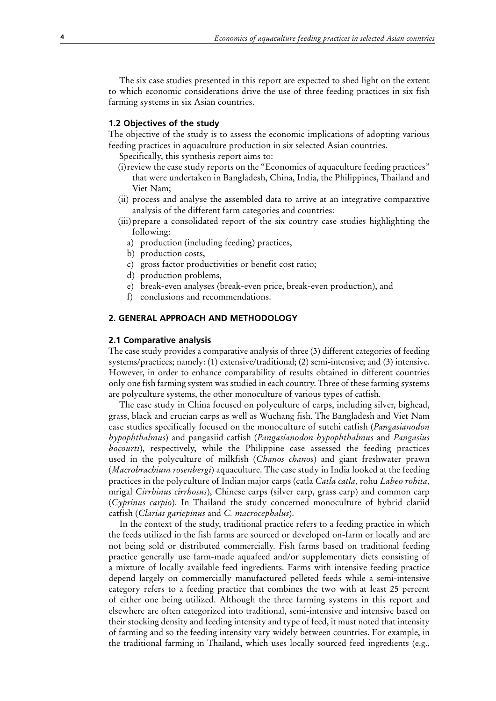The six case studies presented in this report are expected to shed light on the extent to which economic considerations drive the use of three feeding practices in six fish farming systems in six Asian countries.

## **1.2 Objectives of the study**

The objective of the study is to assess the economic implications of adopting various feeding practices in aquaculture production in six selected Asian countries.

Specifically, this synthesis report aims to:

- (i) review the case study reports on the "Economics of aquaculture feeding practices" that were undertaken in Bangladesh, China, India, the Philippines, Thailand and Viet Nam;
- (ii) process and analyse the assembled data to arrive at an integrative comparative analysis of the different farm categories and countries:
- (iii)prepare a consolidated report of the six country case studies highlighting the following:
	- a) production (including feeding) practices,
	- b) production costs,
	- c) gross factor productivities or benefit cost ratio;
	- d) production problems,
	- e) break-even analyses (break-even price, break-even production), and
	- f) conclusions and recommendations.

# **2. General approach and methodology**

#### **2.1 Comparative analysis**

The case study provides a comparative analysis of three (3) different categories of feeding systems/practices; namely: (1) extensive/traditional; (2) semi-intensive; and (3) intensive. However, in order to enhance comparability of results obtained in different countries only one fish farming system was studied in each country. Three of these farming systems are polyculture systems, the other monoculture of various types of catfish.

The case study in China focused on polyculture of carps, including silver, bighead, grass, black and crucian carps as well as Wuchang fish. The Bangladesh and Viet Nam case studies specifically focused on the monoculture of sutchi catfish (*Pangasianodon hypophthalmus*) and pangasiid catfish (*Pangasianodon hypophthalmus* and *Pangasius bocourti*), respectively, while the Philippine case assessed the feeding practices used in the polyculture of milkfish (*Chanos chanos*) and giant freshwater prawn (*Macrobrachium rosenbergi*) aquaculture. The case study in India looked at the feeding practices in the polyculture of Indian major carps (catla *Catla catla*, rohu *Labeo rohita*, mrigal *Cirrhinus cirrhosus*), Chinese carps (silver carp, grass carp) and common carp (*Cyprinus carpio*). In Thailand the study concerned monoculture of hybrid clariid catfish (*Clarias gariepinus* and *C. macrocephalus*).

In the context of the study, traditional practice refers to a feeding practice in which the feeds utilized in the fish farms are sourced or developed on-farm or locally and are not being sold or distributed commercially. Fish farms based on traditional feeding practice generally use farm-made aquafeed and/or supplementary diets consisting of a mixture of locally available feed ingredients. Farms with intensive feeding practice depend largely on commercially manufactured pelleted feeds while a semi-intensive category refers to a feeding practice that combines the two with at least 25 percent of either one being utilized. Although the three farming systems in this report and elsewhere are often categorized into traditional, semi-intensive and intensive based on their stocking density and feeding intensity and type of feed, it must noted that intensity of farming and so the feeding intensity vary widely between countries. For example, in the traditional farming in Thailand, which uses locally sourced feed ingredients (e.g.,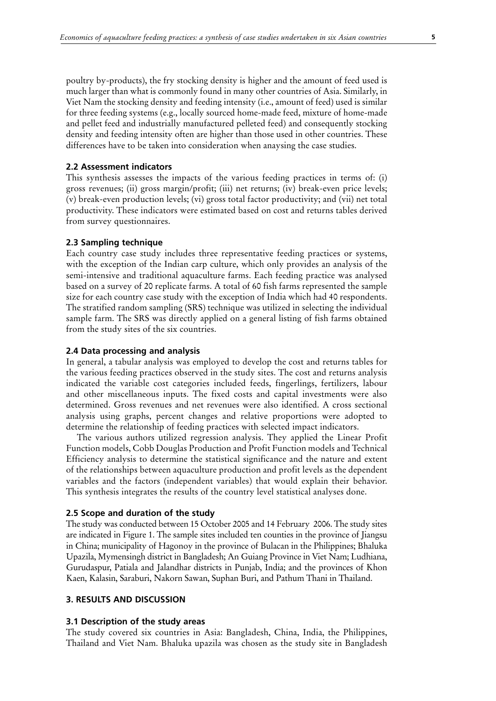poultry by-products), the fry stocking density is higher and the amount of feed used is much larger than what is commonly found in many other countries of Asia. Similarly, in Viet Nam the stocking density and feeding intensity (i.e., amount of feed) used is similar for three feeding systems (e.g., locally sourced home-made feed, mixture of home-made and pellet feed and industrially manufactured pelleted feed) and consequently stocking density and feeding intensity often are higher than those used in other countries. These differences have to be taken into consideration when anaysing the case studies.

#### **2.2 Assessment indicators**

This synthesis assesses the impacts of the various feeding practices in terms of: (i) gross revenues; (ii) gross margin/profit; (iii) net returns; (iv) break-even price levels; (v) break-even production levels; (vi) gross total factor productivity; and (vii) net total productivity. These indicators were estimated based on cost and returns tables derived from survey questionnaires.

## **2.3 Sampling technique**

Each country case study includes three representative feeding practices or systems, with the exception of the Indian carp culture, which only provides an analysis of the semi-intensive and traditional aquaculture farms. Each feeding practice was analysed based on a survey of 20 replicate farms. A total of 60 fish farms represented the sample size for each country case study with the exception of India which had 40 respondents. The stratified random sampling (SRS) technique was utilized in selecting the individual sample farm. The SRS was directly applied on a general listing of fish farms obtained from the study sites of the six countries.

#### **2.4 Data processing and analysis**

In general, a tabular analysis was employed to develop the cost and returns tables for the various feeding practices observed in the study sites. The cost and returns analysis indicated the variable cost categories included feeds, fingerlings, fertilizers, labour and other miscellaneous inputs. The fixed costs and capital investments were also determined. Gross revenues and net revenues were also identified. A cross sectional analysis using graphs, percent changes and relative proportions were adopted to determine the relationship of feeding practices with selected impact indicators.

The various authors utilized regression analysis. They applied the Linear Profit Function models, Cobb Douglas Production and Profit Function models and Technical Efficiency analysis to determine the statistical significance and the nature and extent of the relationships between aquaculture production and profit levels as the dependent variables and the factors (independent variables) that would explain their behavior. This synthesis integrates the results of the country level statistical analyses done.

### **2.5 Scope and duration of the study**

The study was conducted between 15 October 2005 and 14 February 2006. The study sites are indicated in Figure 1. The sample sites included ten counties in the province of Jiangsu in China; municipality of Hagonoy in the province of Bulacan in the Philippines; Bhaluka Upazila, Mymensingh district in Bangladesh; An Guiang Province in Viet Nam; Ludhiana, Gurudaspur, Patiala and Jalandhar districts in Punjab, India; and the provinces of Khon Kaen, Kalasin, Saraburi, Nakorn Sawan, Suphan Buri, and Pathum Thani in Thailand.

## **3. RESULTS AND DISCUSSION**

#### **3.1 Description of the study areas**

The study covered six countries in Asia: Bangladesh, China, India, the Philippines, Thailand and Viet Nam. Bhaluka upazila was chosen as the study site in Bangladesh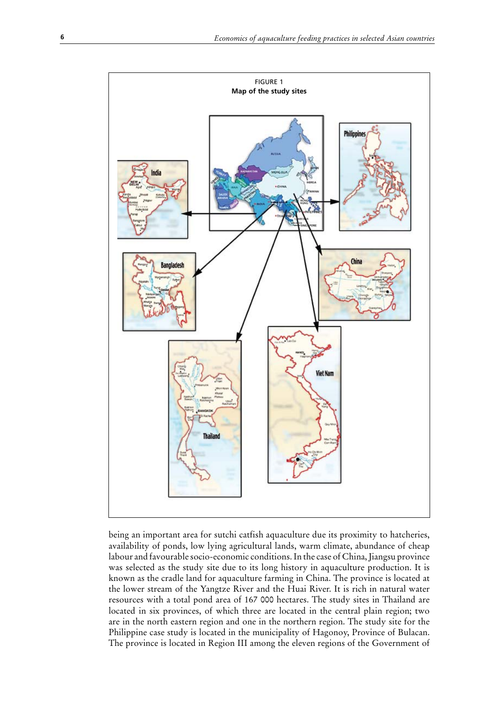

being an important area for sutchi catfish aquaculture due its proximity to hatcheries, availability of ponds, low lying agricultural lands, warm climate, abundance of cheap labour and favourable socio-economic conditions. In the case of China, Jiangsu province was selected as the study site due to its long history in aquaculture production. It is known as the cradle land for aquaculture farming in China. The province is located at the lower stream of the Yangtze River and the Huai River. It is rich in natural water resources with a total pond area of 167 000 hectares. The study sites in Thailand are located in six provinces, of which three are located in the central plain region; two are in the north eastern region and one in the northern region. The study site for the Philippine case study is located in the municipality of Hagonoy, Province of Bulacan. The province is located in Region III among the eleven regions of the Government of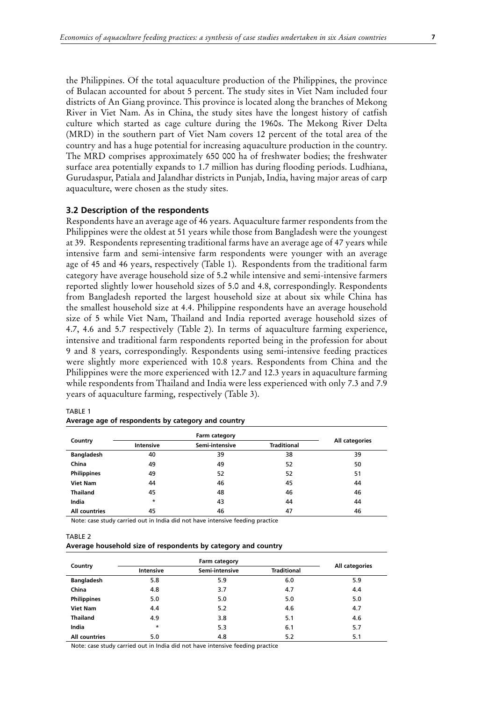the Philippines. Of the total aquaculture production of the Philippines, the province of Bulacan accounted for about 5 percent. The study sites in Viet Nam included four districts of An Giang province. This province is located along the branches of Mekong River in Viet Nam. As in China, the study sites have the longest history of catfish culture which started as cage culture during the 1960s. The Mekong River Delta (MRD) in the southern part of Viet Nam covers 12 percent of the total area of the country and has a huge potential for increasing aquaculture production in the country. The MRD comprises approximately 650 000 ha of freshwater bodies; the freshwater surface area potentially expands to 1.7 million has during flooding periods. Ludhiana, Gurudaspur, Patiala and Jalandhar districts in Punjab, India, having major areas of carp aquaculture, were chosen as the study sites.

## **3.2 Description of the respondents**

Respondents have an average age of 46 years. Aquaculture farmer respondents from the Philippines were the oldest at 51 years while those from Bangladesh were the youngest at 39. Respondents representing traditional farms have an average age of 47 years while intensive farm and semi-intensive farm respondents were younger with an average age of 45 and 46 years, respectively (Table 1). Respondents from the traditional farm category have average household size of 5.2 while intensive and semi-intensive farmers reported slightly lower household sizes of 5.0 and 4.8, correspondingly. Respondents from Bangladesh reported the largest household size at about six while China has the smallest household size at 4.4. Philippine respondents have an average household size of 5 while Viet Nam, Thailand and India reported average household sizes of 4.7, 4.6 and 5.7 respectively (Table 2). In terms of aquaculture farming experience, intensive and traditional farm respondents reported being in the profession for about 9 and 8 years, correspondingly. Respondents using semi-intensive feeding practices were slightly more experienced with 10.8 years. Respondents from China and the Philippines were the more experienced with 12.7 and 12.3 years in aquaculture farming while respondents from Thailand and India were less experienced with only 7.3 and 7.9 years of aquaculture farming, respectively (Table 3).

|                    |           | Farm category  |                    |                |
|--------------------|-----------|----------------|--------------------|----------------|
| Country            | Intensive | Semi-intensive | <b>Traditional</b> | All categories |
| <b>Bangladesh</b>  | 40        | 39             | 38                 | 39             |
| China              | 49        | 49             | 52                 | 50             |
| <b>Philippines</b> | 49        | 52             | 52                 | 51             |
| <b>Viet Nam</b>    | 44        | 46             | 45                 | 44             |
| <b>Thailand</b>    | 45        | 48             | 46                 | 46             |
| India              | $\star$   | 43             | 44                 | 44             |
| All countries      | 45        | 46             | 47                 | 46             |

#### TABLE 1

|  | Average age of respondents by category and country |  |  |
|--|----------------------------------------------------|--|--|
|--|----------------------------------------------------|--|--|

Note: case study carried out in India did not have intensive feeding practice

TABLE 2

| Average household size of respondents by category and country |  |
|---------------------------------------------------------------|--|
|---------------------------------------------------------------|--|

|                    |                  | Farm category  |                    |                |
|--------------------|------------------|----------------|--------------------|----------------|
| Country            | <b>Intensive</b> | Semi-intensive | <b>Traditional</b> | All categories |
| <b>Bangladesh</b>  | 5.8              | 5.9            | 6.0                | 5.9            |
| China              | 4.8              | 3.7            | 4.7                | 4.4            |
| <b>Philippines</b> | 5.0              | 5.0            | 5.0                | 5.0            |
| <b>Viet Nam</b>    | 4.4              | 5.2            | 4.6                | 4.7            |
| <b>Thailand</b>    | 4.9              | 3.8            | 5.1                | 4.6            |
| India              | $\star$          | 5.3            | 6.1                | 5.7            |
| All countries      | 5.0              | 4.8            | 5.2                | 5.1            |

Note: case study carried out in India did not have intensive feeding practice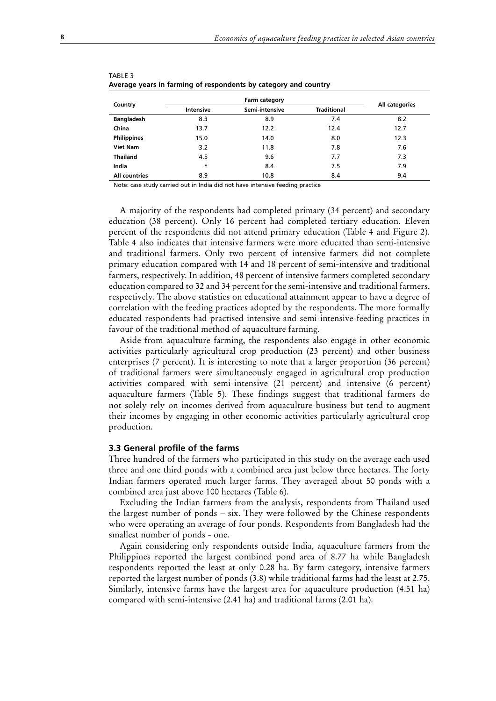|                      |           | Farm category  |                    |                |
|----------------------|-----------|----------------|--------------------|----------------|
| Country              | Intensive | Semi-intensive | <b>Traditional</b> | All categories |
| <b>Bangladesh</b>    | 8.3       | 8.9            | 7.4                | 8.2            |
| China                | 13.7      | 12.2           | 12.4               | 12.7           |
| <b>Philippines</b>   | 15.0      | 14.0           | 8.0                | 12.3           |
| <b>Viet Nam</b>      | 3.2       | 11.8           | 7.8                | 7.6            |
| Thailand             | 4.5       | 9.6            | 7.7                | 7.3            |
| India                | $\star$   | 8.4            | 7.5                | 7.9            |
| <b>All countries</b> | 8.9       | 10.8           | 8.4                | 9.4            |

| IADLE 3 |                                                                 |  |  |
|---------|-----------------------------------------------------------------|--|--|
|         | Average years in farming of respondents by category and country |  |  |

Note: case study carried out in India did not have intensive feeding practice

A majority of the respondents had completed primary (34 percent) and secondary education (38 percent). Only 16 percent had completed tertiary education. Eleven percent of the respondents did not attend primary education (Table 4 and Figure 2). Table 4 also indicates that intensive farmers were more educated than semi-intensive and traditional farmers. Only two percent of intensive farmers did not complete primary education compared with 14 and 18 percent of semi-intensive and traditional farmers, respectively. In addition, 48 percent of intensive farmers completed secondary education compared to 32 and 34 percent for the semi-intensive and traditional farmers, respectively. The above statistics on educational attainment appear to have a degree of correlation with the feeding practices adopted by the respondents. The more formally educated respondents had practised intensive and semi-intensive feeding practices in favour of the traditional method of aquaculture farming.

Aside from aquaculture farming, the respondents also engage in other economic activities particularly agricultural crop production (23 percent) and other business enterprises (7 percent). It is interesting to note that a larger proportion (36 percent) of traditional farmers were simultaneously engaged in agricultural crop production activities compared with semi-intensive (21 percent) and intensive (6 percent) aquaculture farmers (Table 5). These findings suggest that traditional farmers do not solely rely on incomes derived from aquaculture business but tend to augment their incomes by engaging in other economic activities particularly agricultural crop production.

#### **3.3 General profile of the farms**

Three hundred of the farmers who participated in this study on the average each used three and one third ponds with a combined area just below three hectares. The forty Indian farmers operated much larger farms. They averaged about 50 ponds with a combined area just above 100 hectares (Table 6).

Excluding the Indian farmers from the analysis, respondents from Thailand used the largest number of ponds – six. They were followed by the Chinese respondents who were operating an average of four ponds. Respondents from Bangladesh had the smallest number of ponds - one.

Again considering only respondents outside India, aquaculture farmers from the Philippines reported the largest combined pond area of 8.77 ha while Bangladesh respondents reported the least at only 0.28 ha. By farm category, intensive farmers reported the largest number of ponds (3.8) while traditional farms had the least at 2.75. Similarly, intensive farms have the largest area for aquaculture production (4.51 ha) compared with semi-intensive (2.41 ha) and traditional farms (2.01 ha).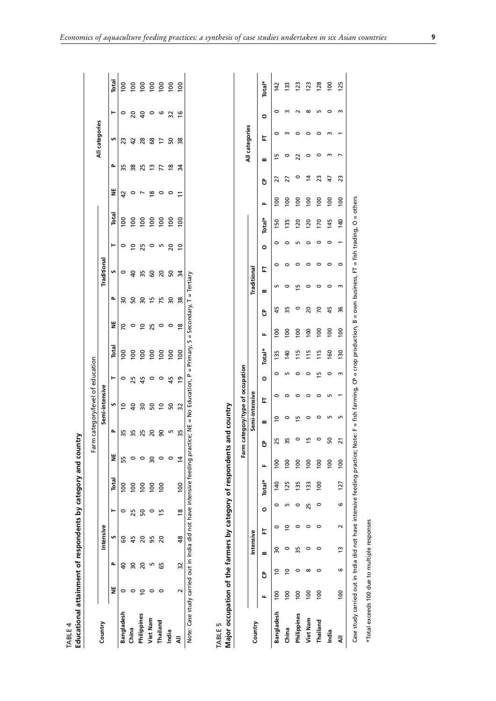| Educational attainment of respondents by category and country<br>TABLE 4                                                                   |                 |                |                |   |                |                  |                |                                  |                             |               |        |                       |                |               |                           |                |                  |                |                |                |                |         |                 |
|--------------------------------------------------------------------------------------------------------------------------------------------|-----------------|----------------|----------------|---|----------------|------------------|----------------|----------------------------------|-----------------------------|---------------|--------|-----------------------|----------------|---------------|---------------------------|----------------|------------------|----------------|----------------|----------------|----------------|---------|-----------------|
|                                                                                                                                            |                 |                |                |   |                |                  |                | Farm category/level of education |                             |               |        |                       |                |               |                           |                |                  |                |                |                |                |         |                 |
| Country                                                                                                                                    |                 |                | Intensive      |   |                |                  |                |                                  | Semi-intensive              |               |        |                       |                |               | Traditional               |                |                  |                |                | All categories |                |         |                 |
|                                                                                                                                            | ž               | Δ              | S              |   | Н              | Total            | ž              | م                                | n                           | ۳             |        | Total                 | ž              | Δ             | n                         | ⊢              | Total            | ž              | Δ              | S              |                | ۳       | Total           |
| Bangladesh                                                                                                                                 | 0               | $\overline{a}$ | 8              |   | 0              | $\frac{8}{100}$  | 55             | 35                               | ∘                           | $\circ$       |        | 100                   | 2              | 50            | 0                         | $\circ$        | $\overline{5}$   | 5              | 35             | 23             |                | $\circ$ | $\frac{8}{100}$ |
| China                                                                                                                                      | $\circ$         | 30             | 45             |   | 25             | <b>001</b>       | $\circ$        | 35                               | $\overline{a}$              | 25            |        | 100                   | $\circ$        | SO            | $\overline{a}$            | ∘⊇             | 100              | $\circ$        | 38             | $\overline{4}$ | $\overline{c}$ |         |                 |
| Philippines                                                                                                                                | $\subseteq$     | $\approx$      | $\overline{c}$ |   | င္တ            | $\frac{0}{100}$  | 0              | 25                               | $\boldsymbol{S}$            | 45            |        | 100                   | $\tilde{ }$    | 50            | 35                        | 25             | $\overline{5}$   | $\overline{ }$ | 25             | 28             | $\overline{a}$ |         |                 |
| Viet Nam                                                                                                                                   | $\circ$         | m              | 56             |   | 0              | $\frac{00}{1}$   | 50             | $\overline{c}$                   | S0                          | $\circ$       |        | 001                   | 25             | 15            | 8                         | $\circ$        | $\overline{100}$ | $\frac{8}{2}$  | $\frac{1}{2}$  | 89             |                | $\circ$ | e e e e e       |
| Thailand                                                                                                                                   | $\circ$         | 65             | 20             |   | $\overline{1}$ | $\overline{100}$ | $\circ$        | 90                               | $\overline{c}$              | $\circ$       |        | 100                   | $\circ$        | 75            | $\mathsf{S}^{\mathsf{C}}$ | m              | $\overline{5}$   | $\circ$        | 77             | 17             |                | ဖ       |                 |
| India                                                                                                                                      |                 |                |                |   |                |                  | $\circ$        | L                                | S                           | 45            |        | 100                   | $\circ$        | 30            | 50                        | $\overline{c}$ | 100              | $\circ$        | $\frac{8}{2}$  | S0             | 32             |         |                 |
| ₹                                                                                                                                          | $\sim$          | 32             | 48             |   | $\frac{8}{2}$  | $\overline{0}$   | $\overline{4}$ | 35                               | 32                          | $\frac{9}{2}$ |        | 100                   | $\overline{8}$ | 38            | 34                        | $\overline{0}$ | $\frac{8}{2}$    | $\overline{1}$ | 34             | 38             | $\frac{6}{5}$  |         | 100             |
| Note: Case study carried out in India did not have intensive feeding practice; NE = No Education, P = Primary, S = Secondary, T = Tertiary |                 |                |                |   |                |                  |                |                                  |                             |               |        |                       |                |               |                           |                |                  |                |                |                |                |         |                 |
| Major occupation of the farmers by category of respondents<br>TABLE 5                                                                      |                 |                |                |   |                |                  |                | and country                      |                             |               |        |                       |                |               |                           |                |                  |                |                |                |                |         |                 |
|                                                                                                                                            |                 |                |                |   |                |                  | Farm           |                                  | category/type of occupation |               |        |                       |                |               |                           |                |                  |                |                |                |                |         |                 |
| Country                                                                                                                                    |                 |                | Intensive      |   |                |                  |                |                                  | Semi-intensive              |               |        |                       |                |               | Traditional               |                |                  |                |                | All categories |                |         |                 |
|                                                                                                                                            | щ               | ზ              | m              | ᄂ | $\circ$        | Total*           | щ              | å                                | 노<br>m                      | $\circ$       | Total* | щ                     | ზ              | m             | ᄂ                         | $\circ$        | Total*           | щ              | m<br>ზ         |                | $\circ$<br>노   |         | Total*          |
| Bangladesh                                                                                                                                 | $\overline{0}$  | $\subseteq$    | 20             | 0 | 0              | 140              | $\frac{8}{2}$  | 25                               | ₽                           | 0             | 0      | $\overline{5}$<br>135 | 45             | m             | 0                         | 0              | 50               | $\overline{0}$ | 52             | 15             | 0              | 0       | 142             |
| China                                                                                                                                      | $^{100}$        | ∘              | 0              | S | m              | 125              | $\overline{0}$ | 35                               | $\circ$                     | 0             | m      | 00<br>140             | 55             | 0             | $\circ$                   | 0              | 135              | $\overline{5}$ | 27             | 0              | m              | m       | 133             |
| Philippines                                                                                                                                | $\overline{00}$ | 0              | 35             | 0 | $\circ$        | 135              | $\frac{0}{0}$  | $\circ$                          | m                           | 0             | 0      | 100<br>$\frac{5}{1}$  |                | m<br>$\circ$  | 0                         | m              | 120              | $\frac{0}{2}$  | $\circ$        | 22             | 0              |         | 123             |
| Viet Nam                                                                                                                                   | $\overline{0}$  | $\infty$       | 0              | 0 | 25             | 133              | $\frac{00}{2}$ | 15                               | 0                           | 0             | 0      | 100<br>15             |                | 0<br>20       | 0                         | 0              | 120              | $^{100}$       | $\overline{4}$ | $\circ$        | 0              | ∞       | 123             |
| Thailand                                                                                                                                   | 100             | $\circ$        | 0              | 0 | $\circ$        | $\overline{0}$   | 100            | $\circ$                          | $\circ$                     | $\circ$       | 15     | 100<br>115            |                | $\circ$<br>20 | $\circ$                   | $\circ$        | 170              | 100            | 23             | $\circ$        | 0              | LN      | 128             |

Case study carried out in India did not have intensive feeding practice; Note: F = fish farming, CP = crop production, B = own business, FT = fish trading, O = others Case study carried out in India did not have intensive feeding practice; Note: F = fish farming, CP = crop production, B = own business, FT = fish trading, O = others

 $\circ$  $\mathsf{L}$ 

100<br>125

 $\omega$ 

 $47$   $23$ 

 $\frac{8}{100}$ 

 $\circ$ 

 $\circ$ 

45 ვ<br>მ

 $\frac{100}{2}$  $\frac{6}{2}$ 

**160** 130

 $\circ$  $\sim$ 

n n

<u>ទ</u><br>ស

 $\frac{1}{2}$ 

 $127$ 

م

 $\sim$ 

 $\tilde{5}$ 

 $\circ$ 

 $\overline{100}$ 

India  $\bar{\bar{\mathbf{x}}}$ 

 $\frac{8}{100}$ 

 $\circ$   $\circ$ 

 $\overline{a}$ 

 $\omega$ 

 $\ddot{\phantom{0}}$ 

 $\mathsf{m}$  $\circ$  m

 $\circ$  $m<sub>n</sub>$ 

 $170$ 145  $\frac{1}{2}$ 

\*Total exceeds 100 due to multiple responses \*Total exceeds 100 due to multiple responses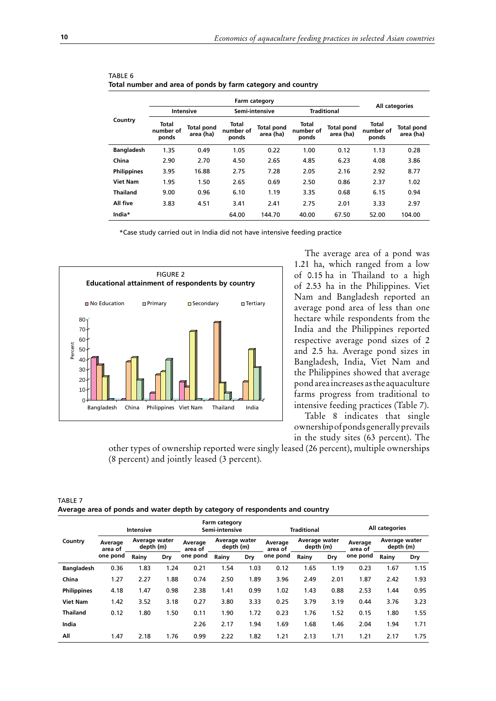|                    |                             |                                | <b>Farm category</b>        |                                |                             |                                | All categories              |                                |
|--------------------|-----------------------------|--------------------------------|-----------------------------|--------------------------------|-----------------------------|--------------------------------|-----------------------------|--------------------------------|
|                    | <b>Intensive</b>            |                                |                             | Semi-intensive                 | <b>Traditional</b>          |                                |                             |                                |
| Country            | Total<br>number of<br>ponds | <b>Total pond</b><br>area (ha) | Total<br>number of<br>ponds | <b>Total pond</b><br>area (ha) | Total<br>number of<br>ponds | <b>Total pond</b><br>area (ha) | Total<br>number of<br>ponds | <b>Total pond</b><br>area (ha) |
| <b>Bangladesh</b>  | 1.35                        | 0.49                           | 1.05                        | 0.22                           | 1.00                        | 0.12                           | 1.13                        | 0.28                           |
| China              | 2.90                        | 2.70                           | 4.50                        | 2.65                           | 4.85                        | 6.23                           | 4.08                        | 3.86                           |
| <b>Philippines</b> | 3.95                        | 16.88                          | 2.75                        | 7.28                           | 2.05                        | 2.16                           | 2.92                        | 8.77                           |
| <b>Viet Nam</b>    | 1.95                        | 1.50                           | 2.65                        | 0.69                           | 2.50                        | 0.86                           | 2.37                        | 1.02                           |
| <b>Thailand</b>    | 9.00                        | 0.96                           | 6.10                        | 1.19                           | 3.35                        | 0.68                           | 6.15                        | 0.94                           |
| All five           | 3.83                        | 4.51                           | 3.41                        | 2.41                           | 2.75                        | 2.01                           | 3.33                        | 2.97                           |
| India*             |                             |                                | 64.00                       | 144.70                         | 40.00                       | 67.50                          | 52.00                       | 104.00                         |

| TABLE 6                                                     |  |  |
|-------------------------------------------------------------|--|--|
| Total number and area of ponds by farm category and country |  |  |

\*Case study carried out in India did not have intensive feeding practice



The average area of a pond was 1.21 ha, which ranged from a low of 0.15 ha in Thailand to a high of 2.53 ha in the Philippines. Viet Nam and Bangladesh reported an average pond area of less than one hectare while respondents from the India and the Philippines reported respective average pond sizes of 2 and 2.5 ha. Average pond sizes in Bangladesh, India, Viet Nam and the Philippines showed that average pond area increases as the aquaculture farms progress from traditional to intensive feeding practices (Table 7).

Table 8 indicates that single ownership of ponds generally prevails in the study sites (63 percent). The

other types of ownership reported were singly leased (26 percent), multiple ownerships (8 percent) and jointly leased (3 percent).

TABLE 7 **Average area of ponds and water depth by category of respondents and country**

|                    |                    | Intensive                  |      |                    | Farm category<br>Semi-intensive |      |                    | <b>Traditional</b>         |      |                    | All categories             |      |
|--------------------|--------------------|----------------------------|------|--------------------|---------------------------------|------|--------------------|----------------------------|------|--------------------|----------------------------|------|
| Country            | Average<br>area of | Average water<br>depth (m) |      | Average<br>area of | Average water<br>depth (m)      |      | Average<br>area of | Average water<br>depth (m) |      | Average<br>area of | Average water<br>depth (m) |      |
|                    | one pond           | Rainy                      | Dry  | one pond           | Rainy                           | Dry  | one pond           | Rainy                      | Dry  | one pond           | Rainy                      | Dry  |
| <b>Bangladesh</b>  | 0.36               | 1.83                       | 1.24 | 0.21               | 1.54                            | 1.03 | 0.12               | 1.65                       | 1.19 | 0.23               | 1.67                       | 1.15 |
| China              | 1.27               | 2.27                       | 1.88 | 0.74               | 2.50                            | 1.89 | 3.96               | 2.49                       | 2.01 | 1.87               | 2.42                       | 1.93 |
| <b>Philippines</b> | 4.18               | 1.47                       | 0.98 | 2.38               | 1.41                            | 0.99 | 1.02               | 1.43                       | 0.88 | 2.53               | 1.44                       | 0.95 |
| <b>Viet Nam</b>    | 1.42               | 3.52                       | 3.18 | 0.27               | 3.80                            | 3.33 | 0.25               | 3.79                       | 3.19 | 0.44               | 3.76                       | 3.23 |
| <b>Thailand</b>    | 0.12               | 1.80                       | 1.50 | 0.11               | 1.90                            | 1.72 | 0.23               | 1.76                       | 1.52 | 0.15               | 1.80                       | 1.55 |
| India              |                    |                            |      | 2.26               | 2.17                            | 1.94 | 1.69               | 1.68                       | 1.46 | 2.04               | 1.94                       | 1.71 |
| All                | 1.47               | 2.18                       | 1.76 | 0.99               | 2.22                            | 1.82 | 1.21               | 2.13                       | 1.71 | 1.21               | 2.17                       | 1.75 |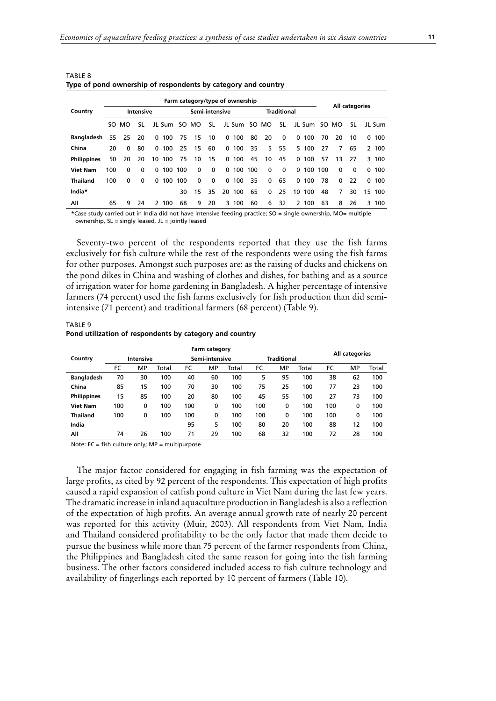| . .                |     |              |                  |              |              |     |                                 |                |              |              |         |              |                    |            |       |     |              |                |           |
|--------------------|-----|--------------|------------------|--------------|--------------|-----|---------------------------------|----------------|--------------|--------------|---------|--------------|--------------------|------------|-------|-----|--------------|----------------|-----------|
|                    |     |              |                  |              |              |     | Farm category/type of ownership |                |              |              |         |              |                    |            |       |     |              | All categories |           |
| Country            |     |              | <b>Intensive</b> |              |              |     |                                 | Semi-intensive |              |              |         |              | <b>Traditional</b> |            |       |     |              |                |           |
|                    |     | SO MO        | SL               |              | JL Sum SO MO |     |                                 | SL             |              | JL Sum SO MO |         |              | -SL                |            |       |     | JL Sum SO MO | SL.            | JL Sum    |
| <b>Bangladesh</b>  | 55  | 25           | 20               | $\mathbf{0}$ | 100          | 75  | 15                              | 10             | $\mathbf{0}$ | 100          | 80      | 20           | 0                  | 0          | 100   | 70  | 20           | 10             | 100<br>0  |
| China              | 20  | $\mathbf{0}$ | 80               | $\Omega$     | 100          | 25  | -15                             | 60             |              | 0, 100       | 35      | 5.           | 55                 |            | 5 100 | 27  | 7            | 65             | 2 100     |
| <b>Philippines</b> | 50  | 20           | 20               | 10           | 100          | 75  | 10                              | 15             | $\mathbf{0}$ | 100          | 45      | 10           | 45                 | $^{\circ}$ | 100   | 57  | 13           | 27             | 100<br>3  |
| <b>Viet Nam</b>    | 100 | $\mathbf{0}$ | $\mathbf{0}$     | $\mathbf{0}$ | 100          | 100 | $\mathbf{0}$                    | $\mathbf{0}$   | $\mathbf{0}$ |              | 100 100 | $\mathbf{0}$ | 0                  | 0,100      |       | 100 | 0            | $\mathbf{0}$   | 100<br>0  |
| <b>Thailand</b>    | 100 | $\mathbf{0}$ | $\mathbf{0}$     | 0            | 100          | 100 | $\mathbf{0}$                    | $\mathbf{0}$   | $\mathbf{0}$ | 100          | 35      | $\mathbf{0}$ | 65                 | 0, 100     |       | 78  | 0            | 22             | 100<br>0  |
| India*             |     |              |                  |              |              | 30  | 15                              | 35             | 20           | 100          | 65      | $\mathbf{0}$ | 25                 | 10         | 100   | 48  | 7            | 30             | 15<br>100 |
| Αll                | 65  | 9            | 24               |              | 2 100        | 68  | 9                               | 20             | 3            | 100          | 60      | 6            | 32                 |            | 2 100 | 63  | 8            | 26             | 3<br>100  |

TABLE 8 **Type of pond ownership of respondents by category and country**

\*Case study carried out in India did not have intensive feeding practice; SO = single ownership, MO= multiple ownership,  $SL =$  singly leased,  $JL =$  jointly leased

Seventy-two percent of the respondents reported that they use the fish farms exclusively for fish culture while the rest of the respondents were using the fish farms for other purposes. Amongst such purposes are: as the raising of ducks and chickens on the pond dikes in China and washing of clothes and dishes, for bathing and as a source of irrigation water for home gardening in Bangladesh. A higher percentage of intensive farmers (74 percent) used the fish farms exclusively for fish production than did semiintensive (71 percent) and traditional farmers (68 percent) (Table 9).

## TABLE 9 **Pond utilization of respondents by category and country**

|                    |     |           |       |     | Farm category  |       |     |                    |       |     |                |       |
|--------------------|-----|-----------|-------|-----|----------------|-------|-----|--------------------|-------|-----|----------------|-------|
| Country            |     | Intensive |       |     | Semi-intensive |       |     | <b>Traditional</b> |       |     | All categories |       |
|                    | FC  | МP        | Total | FC  | MP             | Total | FC  | МP                 | Total | FC  | MP             | Total |
| <b>Bangladesh</b>  | 70  | 30        | 100   | 40  | 60             | 100   | 5   | 95                 | 100   | 38  | 62             | 100   |
| China              | 85  | 15        | 100   | 70  | 30             | 100   | 75  | 25                 | 100   | 77  | 23             | 100   |
| <b>Philippines</b> | 15  | 85        | 100   | 20  | 80             | 100   | 45  | 55                 | 100   | 27  | 73             | 100   |
| <b>Viet Nam</b>    | 100 | 0         | 100   | 100 | 0              | 100   | 100 | 0                  | 100   | 100 | $\mathbf{0}$   | 100   |
| <b>Thailand</b>    | 100 | 0         | 100   | 100 | 0              | 100   | 100 | 0                  | 100   | 100 | 0              | 100   |
| India              |     |           |       | 95  | 5              | 100   | 80  | 20                 | 100   | 88  | 12             | 100   |
| Αll                | 74  | 26        | 100   | 71  | 29             | 100   | 68  | 32                 | 100   | 72  | 28             | 100   |

Note: FC = fish culture only; MP = multipurpose

The major factor considered for engaging in fish farming was the expectation of large profits, as cited by 92 percent of the respondents. This expectation of high profits caused a rapid expansion of catfish pond culture in Viet Nam during the last few years. The dramatic increase in inland aquaculture production in Bangladesh is also a reflection of the expectation of high profits. An average annual growth rate of nearly 20 percent was reported for this activity (Muir, 2003). All respondents from Viet Nam, India and Thailand considered profitability to be the only factor that made them decide to pursue the business while more than 75 percent of the farmer respondents from China, the Philippines and Bangladesh cited the same reason for going into the fish farming business. The other factors considered included access to fish culture technology and availability of fingerlings each reported by 10 percent of farmers (Table 10).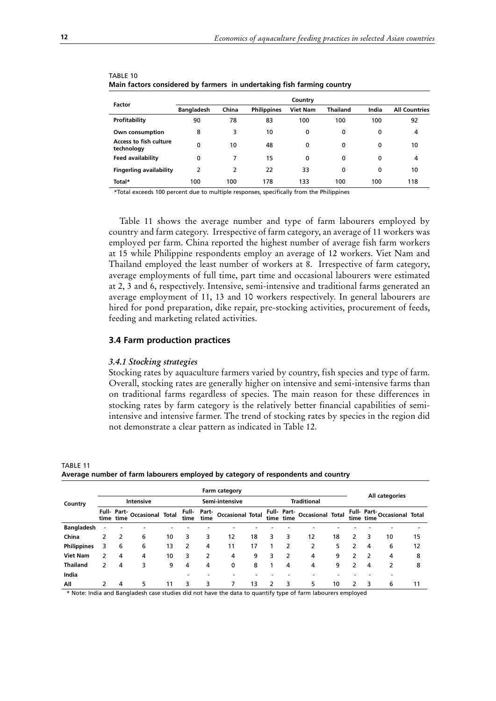|                                             |                   |       |                    | Country         |                 |       |                      |
|---------------------------------------------|-------------------|-------|--------------------|-----------------|-----------------|-------|----------------------|
| Factor                                      | <b>Bangladesh</b> | China | <b>Philippines</b> | <b>Viet Nam</b> | <b>Thailand</b> | India | <b>All Countries</b> |
| Profitability                               | 90                | 78    | 83                 | 100             | 100             | 100   | 92                   |
| Own consumption                             | 8                 | 3     | 10                 | 0               | 0               | 0     | 4                    |
| <b>Access to fish culture</b><br>technology | 0                 | 10    | 48                 | 0               | 0               | 0     | 10                   |
| <b>Feed availability</b>                    | 0                 | 7     | 15                 | 0               | 0               | 0     | 4                    |
| <b>Fingerling availability</b>              | $\overline{2}$    | 2     | 22                 | 33              | 0               | 0     | 10                   |
| Total*                                      | 100               | 100   | 178                | 133             | 100             | 100   | 118                  |

| TABLE 10                                                               |  |
|------------------------------------------------------------------------|--|
| Main factors considered by farmers in undertaking fish farming country |  |

\*Total exceeds 100 percent due to multiple responses, specifically from the Philippines

Table 11 shows the average number and type of farm labourers employed by country and farm category. Irrespective of farm category, an average of 11 workers was employed per farm. China reported the highest number of average fish farm workers at 15 while Philippine respondents employ an average of 12 workers. Viet Nam and Thailand employed the least number of workers at 8. Irrespective of farm category, average employments of full time, part time and occasional labourers were estimated at 2, 3 and 6, respectively. Intensive, semi-intensive and traditional farms generated an average employment of 11, 13 and 10 workers respectively. In general labourers are hired for pond preparation, dike repair, pre-stocking activities, procurement of feeds, feeding and marketing related activities.

#### **3.4 Farm production practices**

#### *3.4.1 Stocking strategies*

Stocking rates by aquaculture farmers varied by country, fish species and type of farm. Overall, stocking rates are generally higher on intensive and semi-intensive farms than on traditional farms regardless of species. The main reason for these differences in stocking rates by farm category is the relatively better financial capabilities of semiintensive and intensive farmer. The trend of stocking rates by species in the region did not demonstrate a clear pattern as indicated in Table 12.

|                    |   |           |                              |    |      |      | Farm category              |    |   |                |                              |    |   |                |                             |    |  |
|--------------------|---|-----------|------------------------------|----|------|------|----------------------------|----|---|----------------|------------------------------|----|---|----------------|-----------------------------|----|--|
| Country            |   |           | Intensive                    |    |      |      | Semi-intensive             |    |   |                | <b>Traditional</b>           |    |   | All categories |                             |    |  |
|                    |   | time time | Full- Part- Occasional Total |    | time | time | Full Part Occasional Total |    |   | time time      | Full- Part- Occasional Total |    |   | time time      | Full- Part-Occasional Total |    |  |
| <b>Bangladesh</b>  |   |           |                              |    |      |      |                            |    |   |                |                              |    |   |                |                             |    |  |
| China              | 2 | 2         | 6                            | 10 | 3    | 3    | 12                         | 18 | 3 | 3              | 12                           | 18 |   |                | 10                          | 15 |  |
| <b>Philippines</b> | 3 | 6         | 6                            | 13 | 2    | 4    | 11                         | 17 |   | 2              | 2                            | 5  | 2 | 4              | 6                           | 12 |  |
| <b>Viet Nam</b>    | 2 | 4         | 4                            | 10 | 3    | 2    | 4                          | 9  | 3 | $\overline{2}$ | 4                            | 9  | 2 |                | 4                           | 8  |  |
| <b>Thailand</b>    | 2 | 4         | 3                            | 9  | 4    | 4    | 0                          | 8  |   | 4              | 4                            | 9  | 2 | 4              | 2                           | 8  |  |
| India              |   |           |                              |    |      |      |                            |    |   |                |                              |    |   |                |                             |    |  |
| All                | 2 | 4         | 5.                           | 11 | 3    | 3    |                            | 13 |   | 3              | 5                            | 10 |   | 3              | 6                           | 11 |  |

**Average number of farm labourers employed by category of respondents and country**

\* Note: India and Bangladesh case studies did not have the data to quantify type of farm labourers employed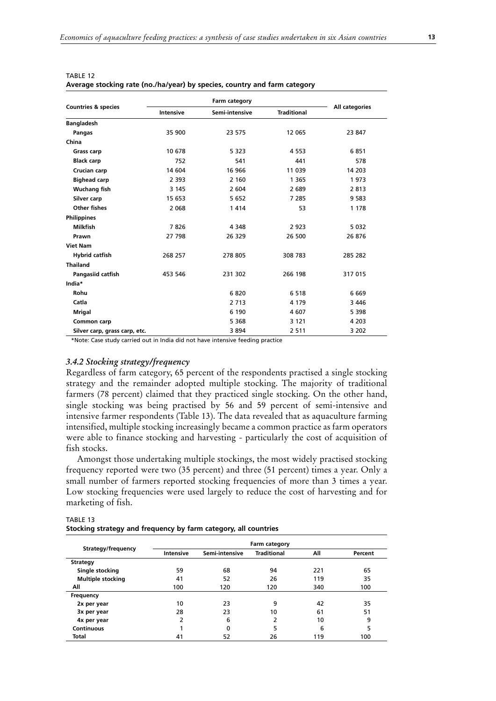| <b>Countries &amp; species</b> | Intensive | Semi-intensive | <b>Traditional</b> | All categories |
|--------------------------------|-----------|----------------|--------------------|----------------|
| <b>Bangladesh</b>              |           |                |                    |                |
| Pangas                         | 35 900    | 23 575         | 12 065             | 23 847         |
| China                          |           |                |                    |                |
| <b>Grass carp</b>              | 10 678    | 5 3 2 3        | 4 5 5 3            | 6851           |
| <b>Black carp</b>              | 752       | 541            | 441                | 578            |
| Crucian carp                   | 14 604    | 16 966         | 11 039             | 14 203         |
| <b>Bighead carp</b>            | 2 3 9 3   | 2 1 6 0        | 1 3 6 5            | 1973           |
| <b>Wuchang fish</b>            | 3 1 4 5   | 2 604          | 2 689              | 2813           |
| Silver carp                    | 15 653    | 5 6 5 2        | 7 2 8 5            | 9 5 8 3        |
| <b>Other fishes</b>            | 2 0 6 8   | 1414           | 53                 | 1 1 7 8        |
| <b>Philippines</b>             |           |                |                    |                |
| <b>Milkfish</b>                | 7826      | 4 3 4 8        | 2 9 2 3            | 5 0 3 2        |
| Prawn                          | 27 798    | 26 329         | 26 500             | 26 876         |
| <b>Viet Nam</b>                |           |                |                    |                |
| <b>Hybrid catfish</b>          | 268 257   | 278 805        | 308 783            | 285 282        |
| <b>Thailand</b>                |           |                |                    |                |
| Pangasiid catfish              | 453 546   | 231 302        | 266 198            | 317 015        |
| India*                         |           |                |                    |                |
| Rohu                           |           | 6820           | 6 5 1 8            | 6 6 6 9        |
| Catla                          |           | 2 7 1 3        | 4 1 7 9            | 3 4 4 6        |
| <b>Mrigal</b>                  |           | 6 190          | 4 607              | 5 3 9 8        |
| Common carp                    |           | 5 3 6 8        | 3 1 2 1            | 4 2 0 3        |
| Silver carp, grass carp, etc.  |           | 3894           | 2 5 1 1            | 3 2 0 2        |

| TABLE 12                                                                  |  |  |
|---------------------------------------------------------------------------|--|--|
| Average stocking rate (no./ha/year) by species, country and farm category |  |  |

\*Note: Case study carried out in India did not have intensive feeding practice

# *3.4.2 Stocking strategy/frequency*

Regardless of farm category, 65 percent of the respondents practised a single stocking strategy and the remainder adopted multiple stocking. The majority of traditional farmers (78 percent) claimed that they practiced single stocking. On the other hand, single stocking was being practised by 56 and 59 percent of semi-intensive and intensive farmer respondents (Table 13). The data revealed that as aquaculture farming intensified, multiple stocking increasingly became a common practice as farm operators were able to finance stocking and harvesting - particularly the cost of acquisition of fish stocks.

Amongst those undertaking multiple stockings, the most widely practised stocking frequency reported were two (35 percent) and three (51 percent) times a year. Only a small number of farmers reported stocking frequencies of more than 3 times a year. Low stocking frequencies were used largely to reduce the cost of harvesting and for marketing of fish.

| Stocking strategy and frequency by farm category, all countries |               |                |                    |     |         |  |  |  |
|-----------------------------------------------------------------|---------------|----------------|--------------------|-----|---------|--|--|--|
|                                                                 | Farm category |                |                    |     |         |  |  |  |
| Strategy/frequency                                              | Intensive     | Semi-intensive | <b>Traditional</b> | All | Percent |  |  |  |
| Strategy                                                        |               |                |                    |     |         |  |  |  |
| Single stocking                                                 | 59            | 68             | 94                 | 221 | 65      |  |  |  |
| <b>Multiple stocking</b>                                        | 41            | 52             | 26                 | 119 | 35      |  |  |  |
| <b>AII</b>                                                      | 100           | 170.           | 120                | ^^^ | 100     |  |  |  |

| Single stocking          | 59  | 68  | 94  | 221 | 65  |
|--------------------------|-----|-----|-----|-----|-----|
| <b>Multiple stocking</b> | 41  | 52  | 26  | 119 | 35  |
| All                      | 100 | 120 | 120 | 340 | 100 |
| Frequency                |     |     |     |     |     |
| 2x per year              | 10  | 23  | 9   | 42  | 35  |
| 3x per year              | 28  | 23  | 10  | 61  | 51  |
| 4x per year              | 2   | 6   |     | 10  | 9   |
| <b>Continuous</b>        |     | 0   |     | 6   |     |
| Total                    | 41  | 52  | 26  | 119 | 100 |
|                          |     |     |     |     |     |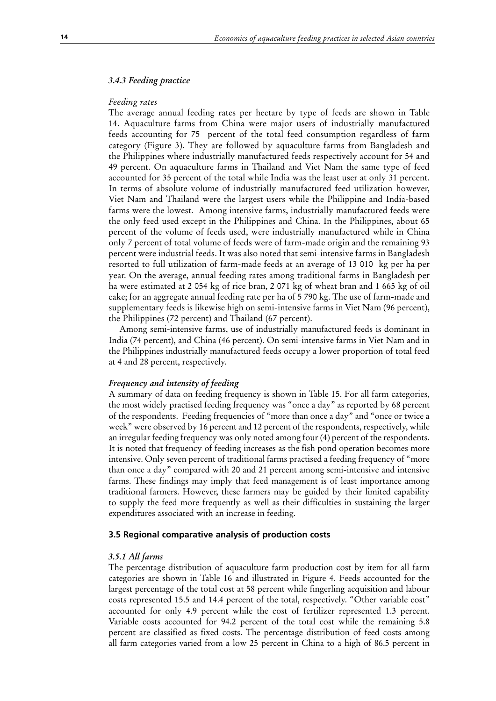## *3.4.3 Feeding practice*

#### *Feeding rates*

The average annual feeding rates per hectare by type of feeds are shown in Table 14. Aquaculture farms from China were major users of industrially manufactured feeds accounting for 75 percent of the total feed consumption regardless of farm category (Figure 3). They are followed by aquaculture farms from Bangladesh and the Philippines where industrially manufactured feeds respectively account for 54 and 49 percent. On aquaculture farms in Thailand and Viet Nam the same type of feed accounted for 35 percent of the total while India was the least user at only 31 percent. In terms of absolute volume of industrially manufactured feed utilization however, Viet Nam and Thailand were the largest users while the Philippine and India-based farms were the lowest. Among intensive farms, industrially manufactured feeds were the only feed used except in the Philippines and China. In the Philippines, about 65 percent of the volume of feeds used, were industrially manufactured while in China only 7 percent of total volume of feeds were of farm-made origin and the remaining 93 percent were industrial feeds. It was also noted that semi-intensive farms in Bangladesh resorted to full utilization of farm-made feeds at an average of 13 010 kg per ha per year. On the average, annual feeding rates among traditional farms in Bangladesh per ha were estimated at 2 054 kg of rice bran, 2 071 kg of wheat bran and 1 665 kg of oil cake; for an aggregate annual feeding rate per ha of 5 790 kg. The use of farm-made and supplementary feeds is likewise high on semi-intensive farms in Viet Nam (96 percent), the Philippines (72 percent) and Thailand (67 percent).

Among semi-intensive farms, use of industrially manufactured feeds is dominant in India (74 percent), and China (46 percent). On semi-intensive farms in Viet Nam and in the Philippines industrially manufactured feeds occupy a lower proportion of total feed at 4 and 28 percent, respectively.

#### *Frequency and intensity of feeding*

A summary of data on feeding frequency is shown in Table 15. For all farm categories, the most widely practised feeding frequency was "once a day" as reported by 68 percent of the respondents. Feeding frequencies of "more than once a day" and "once or twice a week" were observed by 16 percent and 12 percent of the respondents, respectively, while an irregular feeding frequency was only noted among four (4) percent of the respondents. It is noted that frequency of feeding increases as the fish pond operation becomes more intensive. Only seven percent of traditional farms practised a feeding frequency of "more than once a day" compared with 20 and 21 percent among semi-intensive and intensive farms. These findings may imply that feed management is of least importance among traditional farmers. However, these farmers may be guided by their limited capability to supply the feed more frequently as well as their difficulties in sustaining the larger expenditures associated with an increase in feeding.

### **3.5 Regional comparative analysis of production costs**

#### *3.5.1 All farms*

The percentage distribution of aquaculture farm production cost by item for all farm categories are shown in Table 16 and illustrated in Figure 4. Feeds accounted for the largest percentage of the total cost at 58 percent while fingerling acquisition and labour costs represented 15.5 and 14.4 percent of the total, respectively. "Other variable cost" accounted for only 4.9 percent while the cost of fertilizer represented 1.3 percent. Variable costs accounted for 94.2 percent of the total cost while the remaining 5.8 percent are classified as fixed costs. The percentage distribution of feed costs among all farm categories varied from a low 25 percent in China to a high of 86.5 percent in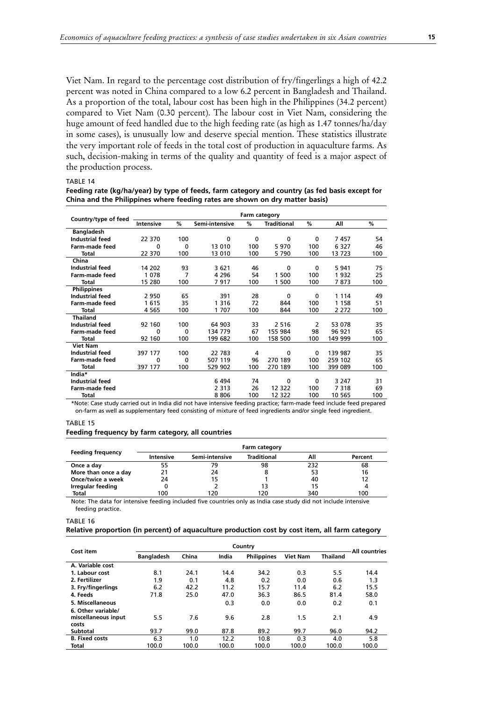Viet Nam. In regard to the percentage cost distribution of fry/fingerlings a high of 42.2 percent was noted in China compared to a low 6.2 percent in Bangladesh and Thailand. As a proportion of the total, labour cost has been high in the Philippines (34.2 percent) compared to Viet Nam (0.30 percent). The labour cost in Viet Nam, considering the huge amount of feed handled due to the high feeding rate (as high as 1.47 tonnes/ha/day in some cases), is unusually low and deserve special mention. These statistics illustrate the very important role of feeds in the total cost of production in aquaculture farms. As such, decision-making in terms of the quality and quantity of feed is a major aspect of the production process.

#### TABLE 14

**Feeding rate (kg/ha/year) by type of feeds, farm category and country (as fed basis except for China and the Philippines where feeding rates are shown on dry matter basis)**

|                        | Farm category |             |                |              |                    |              |         |     |
|------------------------|---------------|-------------|----------------|--------------|--------------------|--------------|---------|-----|
| Country/type of feed   | Intensive     | $\%$        | Semi-intensive | %            | <b>Traditional</b> | %            | All     | %   |
| <b>Bangladesh</b>      |               |             |                |              |                    |              |         |     |
| <b>Industrial feed</b> | 22 370        | 100         | $\mathbf{0}$   | $\mathbf{0}$ | 0                  | 0            | 7457    | 54  |
| Farm-made feed         | $\Omega$      | $\mathbf 0$ | 13 010         | 100          | 5970               | 100          | 6 3 2 7 | 46  |
| Total                  | 22 370        | 100         | 13 010         | 100          | 5790               | 100          | 13 723  | 100 |
| China                  |               |             |                |              |                    |              |         |     |
| <b>Industrial feed</b> | 14 202        | 93          | 3621           | 46           | 0                  | $\Omega$     | 5 9 4 1 | 75  |
| Farm-made feed         | 1078          | 7           | 4 2 9 6        | 54           | 1 500              | 100          | 1932    | 25  |
| Total                  | 15 280        | 100         | 7917           | 100          | 1 500              | 100          | 7873    | 100 |
| <b>Philippines</b>     |               |             |                |              |                    |              |         |     |
| <b>Industrial feed</b> | 2950          | 65          | 391            | 28           | 0                  | 0            | 1 1 1 4 | 49  |
| <b>Farm-made feed</b>  | 1615          | 35          | 1 3 1 6        | 72           | 844                | 100          | 1 1 5 8 | 51  |
| Total                  | 4 5 6 5       | 100         | 1707           | 100          | 844                | 100          | 2 2 7 2 | 100 |
| <b>Thailand</b>        |               |             |                |              |                    |              |         |     |
| <b>Industrial feed</b> | 92 160        | 100         | 64 903         | 33           | 2 5 1 6            | 2            | 53 078  | 35  |
| Farm-made feed         | $\Omega$      | $\mathbf 0$ | 134 779        | 67           | 155 984            | 98           | 96 921  | 65  |
| Total                  | 92 160        | 100         | 199 682        | 100          | 158 500            | 100          | 149 999 | 100 |
| <b>Viet Nam</b>        |               |             |                |              |                    |              |         |     |
| <b>Industrial feed</b> | 397 177       | 100         | 22 783         | 4            | 0                  | $\mathbf{0}$ | 139 987 | 35  |
| Farm-made feed         | 0             | 0           | 507 119        | 96           | 270 189            | 100          | 259 102 | 65  |
| Total                  | 397 177       | 100         | 529 902        | 100          | 270 189            | 100          | 399 089 | 100 |
| India*                 |               |             |                |              |                    |              |         |     |
| <b>Industrial feed</b> |               |             | 6494           | 74           | 0                  | 0            | 3 2 4 7 | 31  |
| Farm-made feed         |               |             | 2 3 1 3        | 26           | 12 3 22            | 100          | 7318    | 69  |
| Total                  |               |             | 8806           | 100          | 12 322             | 100          | 10 565  | 100 |

\*Note: Case study carried out in India did not have intensive feeding practice; farm-made feed include feed prepared on-farm as well as supplementary feed consisting of mixture of feed ingredients and/or single feed ingredient.

#### TABLE 15

#### **Feeding frequency by farm category, all countries**

|                          |           |                | Farm category      |     |         |
|--------------------------|-----------|----------------|--------------------|-----|---------|
| <b>Feeding frequency</b> | Intensive | Semi-intensive | <b>Traditional</b> | All | Percent |
| Once a day               | 55        | 79             | 98                 | 232 | 68      |
| More than once a day     | 21        | 24             |                    | 53  | 16      |
| Once/twice a week        | 24        | 15             |                    | 40  | 12      |
| Irregular feeding        |           |                | 13                 | 15  |         |
| Total                    | 100       | 120            | 120                | 340 | 100     |

Note: The data for intensive feeding included five countries only as India case study did not include intensive feeding practice.

TABLE 16

#### **Relative proportion (in percent) of aquaculture production cost by cost item, all farm category**

| Cost item             |                   |       | All countries |                    |                 |                 |       |
|-----------------------|-------------------|-------|---------------|--------------------|-----------------|-----------------|-------|
|                       | <b>Bangladesh</b> | China | India         | <b>Philippines</b> | <b>Viet Nam</b> | <b>Thailand</b> |       |
| A. Variable cost      |                   |       |               |                    |                 |                 |       |
| 1. Labour cost        | 8.1               | 24.1  | 14.4          | 34.2               | 0.3             | 5.5             | 14.4  |
| 2. Fertilizer         | 1.9               | 0.1   | 4.8           | 0.2                | 0.0             | 0.6             | 1.3   |
| 3. Fry/fingerlings    | 6.2               | 42.2  | 11.2          | 15.7               | 11.4            | 6.2             | 15.5  |
| 4. Feeds              | 71.8              | 25.0  | 47.0          | 36.3               | 86.5            | 81.4            | 58.0  |
| 5. Miscellaneous      |                   |       | 0.3           | 0.0                | 0.0             | 0.2             | 0.1   |
| 6. Other variable/    |                   |       |               |                    |                 |                 |       |
| miscellaneous input   | 5.5               | 7.6   | 9.6           | 2.8                | 1.5             | 2.1             | 4.9   |
| costs                 |                   |       |               |                    |                 |                 |       |
| Subtotal              | 93.7              | 99.0  | 87.8          | 89.2               | 99.7            | 96.0            | 94.2  |
| <b>B.</b> Fixed costs | 6.3               | 1.0   | 12.2          | 10.8               | 0.3             | 4.0             | 5.8   |
| Total                 | 100.0             | 100.0 | 100.0         | 100.0              | 100.0           | 100.0           | 100.0 |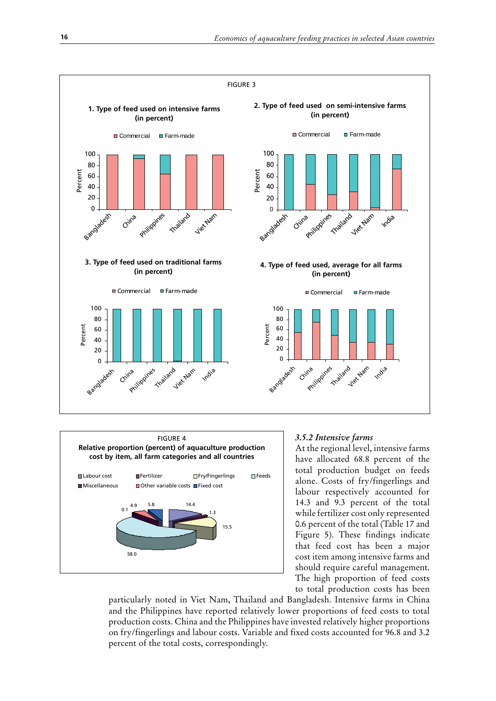



# *3.5.2 Intensive farms*

At the regional level, intensive farms have allocated 68.8 percent of the total production budget on feeds alone. Costs of fry/fingerlings and labour respectively accounted for 14.3 and 9.3 percent of the total while fertilizer cost only represented 0.6 percent of the total (Table 17 and Figure 5). These findings indicate that feed cost has been a major cost item among intensive farms and should require careful management. The high proportion of feed costs to total production costs has been

particularly noted in Viet Nam, Thailand and Bangladesh. Intensive farms in China and the Philippines have reported relatively lower proportions of feed costs to total production costs. China and the Philippines have invested relatively higher proportions on fry/fingerlings and labour costs. Variable and fixed costs accounted for 96.8 and 3.2 percent of the total costs, correspondingly.